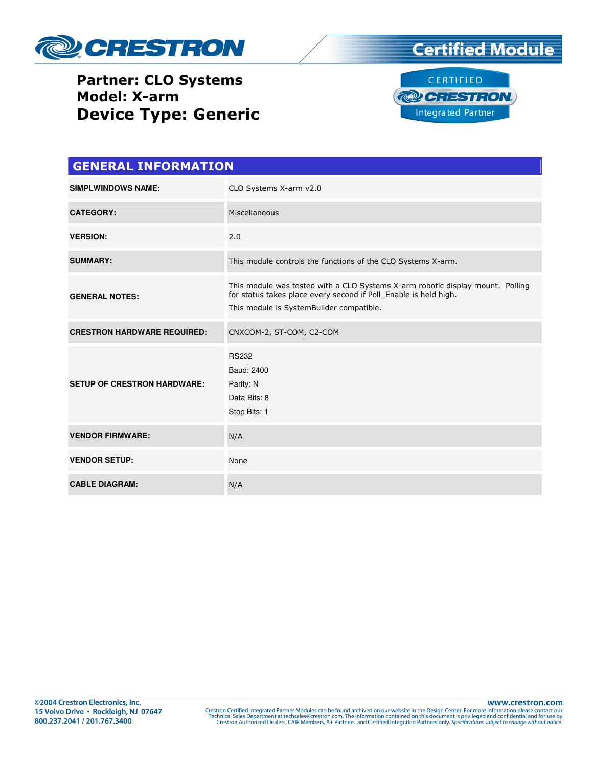

#### Partner: CLO Systems Model: X-arm Device Type: Generic





| <b>GENERAL INFORMATION</b>         |                                                                                                                                                                                                |  |  |
|------------------------------------|------------------------------------------------------------------------------------------------------------------------------------------------------------------------------------------------|--|--|
| <b>SIMPLWINDOWS NAME:</b>          | CLO Systems X-arm v2.0                                                                                                                                                                         |  |  |
| <b>CATEGORY:</b>                   | Miscellaneous                                                                                                                                                                                  |  |  |
| <b>VERSION:</b>                    | 2.0                                                                                                                                                                                            |  |  |
| <b>SUMMARY:</b>                    | This module controls the functions of the CLO Systems X-arm.                                                                                                                                   |  |  |
| <b>GENERAL NOTES:</b>              | This module was tested with a CLO Systems X-arm robotic display mount. Polling<br>for status takes place every second if Poll_Enable is held high.<br>This module is SystemBuilder compatible. |  |  |
| <b>CRESTRON HARDWARE REQUIRED:</b> | CNXCOM-2, ST-COM, C2-COM                                                                                                                                                                       |  |  |
| <b>SETUP OF CRESTRON HARDWARE:</b> | <b>RS232</b><br>Baud: 2400<br>Parity: N<br>Data Bits: 8<br>Stop Bits: 1                                                                                                                        |  |  |
| <b>VENDOR FIRMWARE:</b>            | N/A                                                                                                                                                                                            |  |  |
| <b>VENDOR SETUP:</b>               | None                                                                                                                                                                                           |  |  |
| <b>CABLE DIAGRAM:</b>              | N/A                                                                                                                                                                                            |  |  |

www.crestron.com Crestron Certified Integrated Partner Modules can be found archived on our website in the Design Center. For more information please contact our<br>Technical Sales Department at techsales@crestron.com. The information contain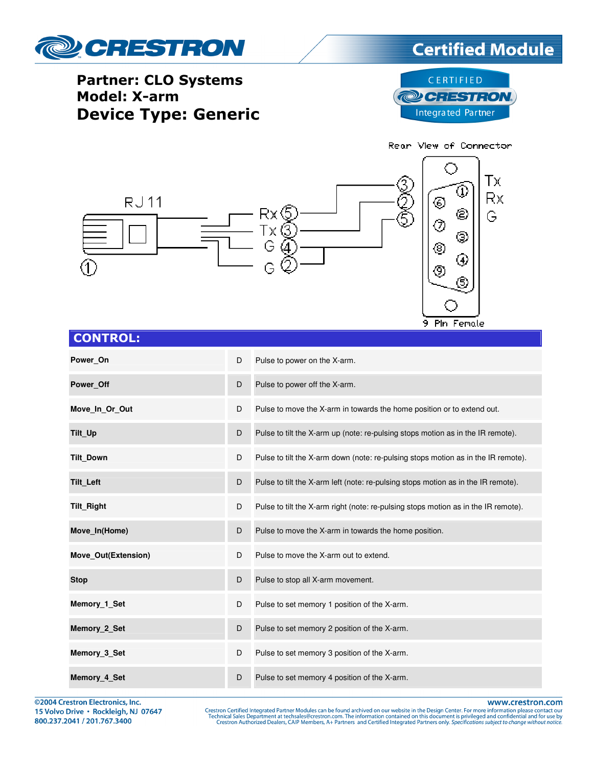

# **Certified Module**

#### Partner: CLO Systems Model: X-arm Device Type: Generic



9 Pin Female



| <b>CONTROL:</b> |  |
|-----------------|--|

| Power On            | D | Pulse to power on the X-arm.                                                       |
|---------------------|---|------------------------------------------------------------------------------------|
| Power Off           | D | Pulse to power off the X-arm.                                                      |
| Move In Or Out      | D | Pulse to move the X-arm in towards the home position or to extend out.             |
| Tilt_Up             | D | Pulse to tilt the X-arm up (note: re-pulsing stops motion as in the IR remote).    |
| <b>Tilt Down</b>    | D | Pulse to tilt the X-arm down (note: re-pulsing stops motion as in the IR remote).  |
| <b>Tilt Left</b>    | D | Pulse to tilt the X-arm left (note: re-pulsing stops motion as in the IR remote).  |
| Tilt_Right          | D | Pulse to tilt the X-arm right (note: re-pulsing stops motion as in the IR remote). |
| Move In(Home)       | D | Pulse to move the X-arm in towards the home position.                              |
| Move Out(Extension) | D | Pulse to move the X-arm out to extend.                                             |
| <b>Stop</b>         | D | Pulse to stop all X-arm movement.                                                  |
| Memory 1 Set        | D | Pulse to set memory 1 position of the X-arm.                                       |
| Memory 2 Set        | D | Pulse to set memory 2 position of the X-arm.                                       |
| Memory 3 Set        | D | Pulse to set memory 3 position of the X-arm.                                       |
| Memory 4 Set        | D | Pulse to set memory 4 position of the X-arm.                                       |

©2004 Crestron Electronics, Inc. 15 Volvo Drive · Rockleigh, NJ 07647 800.237.2041 / 201.767.3400

www.crestron.com Crestron Certified Integrated Partner Modules can be found archived on our website in the Design Center. For more information please contact our<br>Technical Sales Department at techsales@crestron.com. The information contain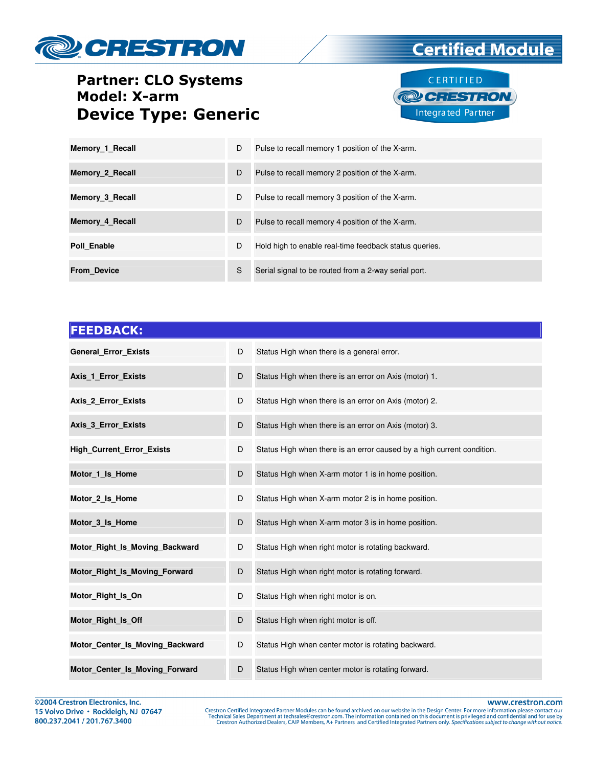

### Partner: CLO Systems Model: X-arm Device Type: Generic



**Certified Module** 

| Memory 1 Recall    | D | Pulse to recall memory 1 position of the X-arm.        |
|--------------------|---|--------------------------------------------------------|
| Memory 2 Recall    | D | Pulse to recall memory 2 position of the X-arm.        |
| Memory 3 Recall    | D | Pulse to recall memory 3 position of the X-arm.        |
| Memory 4 Recall    | D | Pulse to recall memory 4 position of the X-arm.        |
| Poll Enable        | D | Hold high to enable real-time feedback status queries. |
| <b>From Device</b> | S | Serial signal to be routed from a 2-way serial port.   |

| <b>FEEDBACK:</b>                 |   |                                                                        |
|----------------------------------|---|------------------------------------------------------------------------|
| General_Error_Exists             | D | Status High when there is a general error.                             |
| Axis_1_Error_Exists              | D | Status High when there is an error on Axis (motor) 1.                  |
| <b>Axis 2 Error Exists</b>       | D | Status High when there is an error on Axis (motor) 2.                  |
| <b>Axis 3 Error Exists</b>       | D | Status High when there is an error on Axis (motor) 3.                  |
| <b>High_Current_Error_Exists</b> | D | Status High when there is an error caused by a high current condition. |
| Motor 1 Is Home                  | D | Status High when X-arm motor 1 is in home position.                    |
| Motor_2_Is_Home                  | D | Status High when X-arm motor 2 is in home position.                    |
| Motor 3 Is Home                  | D | Status High when X-arm motor 3 is in home position.                    |
| Motor_Right_Is_Moving_Backward   | D | Status High when right motor is rotating backward.                     |
| Motor Right Is Moving Forward    | D | Status High when right motor is rotating forward.                      |
| Motor Right Is On                | D | Status High when right motor is on.                                    |
| Motor_Right_Is_Off               | D | Status High when right motor is off.                                   |
| Motor Center Is Moving Backward  | D | Status High when center motor is rotating backward.                    |
| Motor_Center_Is_Moving_Forward   | D | Status High when center motor is rotating forward.                     |

www.crestron.com

Crestron Certified Integrated Partner Modules can be found archived on our website in the Design Center. For more information please contact our<br>Technical Sales Department at techsales@crestron.com. The information contain